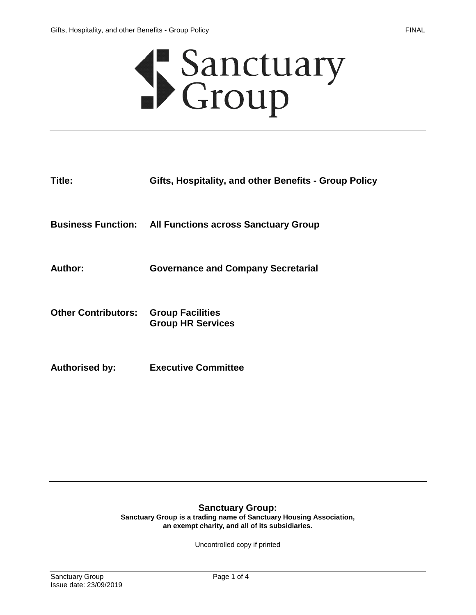# Sanctuary<br>Croup

| Title:                     | Gifts, Hospitality, and other Benefits - Group Policy          |
|----------------------------|----------------------------------------------------------------|
|                            | <b>Business Function:</b> All Functions across Sanctuary Group |
| Author:                    | <b>Governance and Company Secretarial</b>                      |
| <b>Other Contributors:</b> | <b>Group Facilities</b><br><b>Group HR Services</b>            |
| <b>Authorised by:</b>      | <b>Executive Committee</b>                                     |

#### **Sanctuary Group:**

**Sanctuary Group is a trading name of Sanctuary Housing Association, an exempt charity, and all of its subsidiaries.**

Uncontrolled copy if printed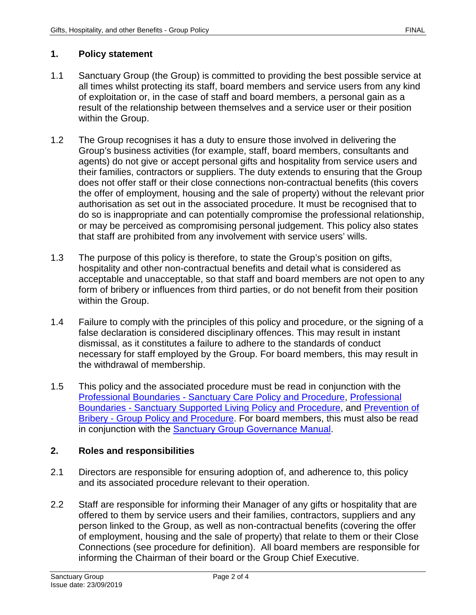# **1. Policy statement**

- 1.1 Sanctuary Group (the Group) is committed to providing the best possible service at all times whilst protecting its staff, board members and service users from any kind of exploitation or, in the case of staff and board members, a personal gain as a result of the relationship between themselves and a service user or their position within the Group.
- 1.2 The Group recognises it has a duty to ensure those involved in delivering the Group's business activities (for example, staff, board members, consultants and agents) do not give or accept personal gifts and hospitality from service users and their families, contractors or suppliers. The duty extends to ensuring that the Group does not offer staff or their close connections non-contractual benefits (this covers the offer of employment, housing and the sale of property) without the relevant prior authorisation as set out in the associated procedure. It must be recognised that to do so is inappropriate and can potentially compromise the professional relationship, or may be perceived as compromising personal judgement. This policy also states that staff are prohibited from any involvement with service users' wills.
- 1.3 The purpose of this policy is therefore, to state the Group's position on gifts, hospitality and other non-contractual benefits and detail what is considered as acceptable and unacceptable, so that staff and board members are not open to any form of bribery or influences from third parties, or do not benefit from their position within the Group.
- 1.4 Failure to comply with the principles of this policy and procedure, or the signing of a false declaration is considered disciplinary offences. This may result in instant dismissal, as it constitutes a failure to adhere to the standards of conduct necessary for staff employed by the Group. For board members, this may result in the withdrawal of membership.
- 1.5 This policy and the associated procedure must be read in conjunction with the Professional Boundaries - [Sanctuary Care Policy and Procedure,](https://solis/PolicyManagement/policy/Policies/Forms/Policy%20Document%20Set/docsethomepage.aspx?ID=4827&FolderCTID=0x0120D52000DE99EA054D4DF944BE591D81E49729D0008C670BDB86BED740B0B89E295CD8357C&List=a03723e1-d48b-4958-9669-9b86a90ef8b0&RootFolder=%2FPolicyManagement%2Fpolicy%2FPolicies%2FProfessional%20Boundaries%20%2D%20Care&RecSrc=%2FPolicyManagement%2Fpolicy%2FPolicies%2FProfessional%20Boundaries%20%2D%20Care) [Professional](https://solis/PolicyManagement/policy/Policies/Forms/Policy%20Document%20Set/docsethomepage.aspx?ID=7156&FolderCTID=0x0120D52000DE99EA054D4DF944BE591D81E49729D0008C670BDB86BED740B0B89E295CD8357C&List=a03723e1-d48b-4958-9669-9b86a90ef8b0&RootFolder=%2FPolicyManagement%2Fpolicy%2FPolicies%2FProfessional%20Boundaries%20%2D%20Supported%20Living&RecSrc=%2FPolicyManagement%2Fpolicy%2FPolicies%2FProfessional%20Boundaries%20%2D%20Supported%20Living)  Boundaries - [Sanctuary Supported Living Policy and Procedure,](https://solis/PolicyManagement/policy/Policies/Forms/Policy%20Document%20Set/docsethomepage.aspx?ID=7156&FolderCTID=0x0120D52000DE99EA054D4DF944BE591D81E49729D0008C670BDB86BED740B0B89E295CD8357C&List=a03723e1-d48b-4958-9669-9b86a90ef8b0&RootFolder=%2FPolicyManagement%2Fpolicy%2FPolicies%2FProfessional%20Boundaries%20%2D%20Supported%20Living&RecSrc=%2FPolicyManagement%2Fpolicy%2FPolicies%2FProfessional%20Boundaries%20%2D%20Supported%20Living) and [Prevention](https://solis/PolicyManagement/policy/Policies/Forms/Policy%20Document%20Set/docsethomepage.aspx?ID=4043&FolderCTID=0x0120D52000DE99EA054D4DF944BE591D81E49729D0008C670BDB86BED740B0B89E295CD8357C&List=a03723e1-d48b-4958-9669-9b86a90ef8b0&RootFolder=%2FPolicyManagement%2Fpolicy%2FPolicies%2FPrevention%20of%20Bribery%20%2D%20Group&RecSrc=%2FPolicyManagement%2Fpolicy%2FPolicies%2FPrevention%20of%20Bribery%20%2D%20Group) of Bribery - [Group Policy and Procedure.](https://solis/PolicyManagement/policy/Policies/Forms/Policy%20Document%20Set/docsethomepage.aspx?ID=4043&FolderCTID=0x0120D52000DE99EA054D4DF944BE591D81E49729D0008C670BDB86BED740B0B89E295CD8357C&List=a03723e1-d48b-4958-9669-9b86a90ef8b0&RootFolder=%2FPolicyManagement%2Fpolicy%2FPolicies%2FPrevention%20of%20Bribery%20%2D%20Group&RecSrc=%2FPolicyManagement%2Fpolicy%2FPolicies%2FPrevention%20of%20Bribery%20%2D%20Group) For board members, this must also be read in conjunction with the Sanctuary Group [Governance Manual.](https://solis/GM/Documents/Governance%20Manual.pdf)

#### **2. Roles and responsibilities**

- 2.1 Directors are responsible for ensuring adoption of, and adherence to, this policy and its associated procedure relevant to their operation.
- 2.2 Staff are responsible for informing their Manager of any gifts or hospitality that are offered to them by service users and their families, contractors, suppliers and any person linked to the Group, as well as non-contractual benefits (covering the offer of employment, housing and the sale of property) that relate to them or their Close Connections (see procedure for definition). All board members are responsible for informing the Chairman of their board or the Group Chief Executive.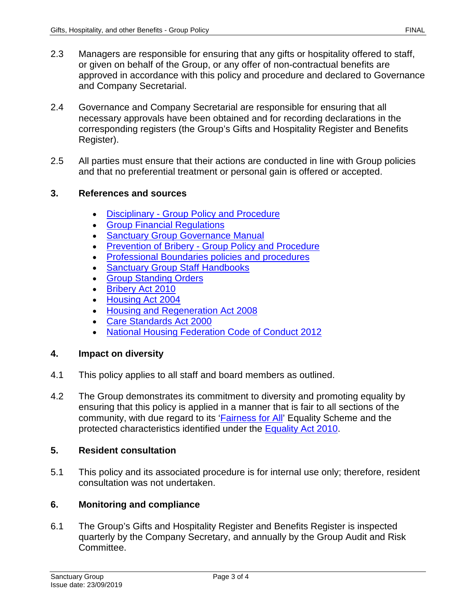- 2.3 Managers are responsible for ensuring that any gifts or hospitality offered to staff, or given on behalf of the Group, or any offer of non-contractual benefits are approved in accordance with this policy and procedure and declared to Governance and Company Secretarial.
- 2.4 Governance and Company Secretarial are responsible for ensuring that all necessary approvals have been obtained and for recording declarations in the corresponding registers (the Group's Gifts and Hospitality Register and Benefits Register).
- 2.5 All parties must ensure that their actions are conducted in line with Group policies and that no preferential treatment or personal gain is offered or accepted.

## **3. References and sources**

- Disciplinary [Group Policy and Procedure](https://solis/PolicyManagement/policy/Policies/Forms/Policy%20Document%20Set/docsethomepage.aspx?ID=3940&FolderCTID=0x0120D52000DE99EA054D4DF944BE591D81E49729D0008C670BDB86BED740B0B89E295CD8357C&List=a03723e1-d48b-4958-9669-9b86a90ef8b0&RootFolder=%2FPolicyManagement%2Fpolicy%2FPolicies%2FDisciplinary%20%2D%20Group&RecSrc=%2FPolicyManagement%2Fpolicy%2FPolicies%2FDisciplinary%20%2D%20Group)
- **Group Financial Requlations**
- **[Sanctuary Group Governance Manual](https://solis/GM/Documents/Governance%20Manual.pdf)**
- **Prevention of Bribery [Group Policy and Procedure](https://solis/PolicyManagement/policy/Policies/Forms/Policy%20Document%20Set/docsethomepage.aspx?ID=4043&FolderCTID=0x0120D52000DE99EA054D4DF944BE591D81E49729D0008C670BDB86BED740B0B89E295CD8357C&List=a03723e1-d48b-4958-9669-9b86a90ef8b0&RootFolder=%2FPolicyManagement%2Fpolicy%2FPolicies%2FPrevention%20of%20Bribery%20%2D%20Group&RecSrc=%2FPolicyManagement%2Fpolicy%2FPolicies%2FPrevention%20of%20Bribery%20%2D%20Group)**
- [Professional Boundaries policies and procedures](https://solis/PolicyManagement/policy/Pages/a-z.aspx?F=P)
- [Sanctuary Group Staff Handbooks](https://solis/SG/HR/Pages/staff-handbooks.aspx)
- **[Group Standing Orders](https://solis/PolicyManagement/policy/Policies/Forms/Policy%20Document%20Set/docsethomepage.aspx?ID=4427&FolderCTID=0x0120D52000DE99EA054D4DF944BE591D81E49729D0008C670BDB86BED740B0B89E295CD8357C&List=a03723e1-d48b-4958-9669-9b86a90ef8b0&RootFolder=%2FPolicyManagement%2Fpolicy%2FPolicies%2FStanding%20Orders%20%2D%20Group&RecSrc=%2FPolicyManagement%2Fpolicy%2FPolicies%2FStanding%20Orders%20%2D%20Group)**
- [Bribery Act 2010](https://www.legislation.gov.uk/ukpga/2010/23/contents)
- [Housing Act 2004](http://www.legislation.gov.uk/ukpga/2004/34/contents)
- [Housing and Regeneration Act 2008](http://www.opsi.gov.uk/si/si2008/uksi_20082358_en_1)
- [Care Standards Act 2000](http://www.opsi.gov.uk/si/si2001/uksi_20011193_en.pdf)
- [National Housing Federation Code of Conduct 2012](https://www.housing.org.uk/resource-library/browse/code-of-conduct-2012-with-good-practice-for-members/)

#### **4. Impact on diversity**

- 4.1 This policy applies to all staff and board members as outlined.
- 4.2 The Group demonstrates its commitment to diversity and promoting equality by ensuring that this policy is applied in a manner that is fair to all sections of the community, with due regard to its ['Fairness for All'](https://solis/Diversity/Pages/Fairnessforall.aspx) Equality Scheme and the protected characteristics identified under the [Equality Act 2010.](http://www.legislation.gov.uk/ukpga/2010/15/contents)

#### **5. Resident consultation**

5.1 This policy and its associated procedure is for internal use only; therefore, resident consultation was not undertaken.

# **6. Monitoring and compliance**

6.1 The Group's Gifts and Hospitality Register and Benefits Register is inspected quarterly by the Company Secretary, and annually by the Group Audit and Risk Committee.